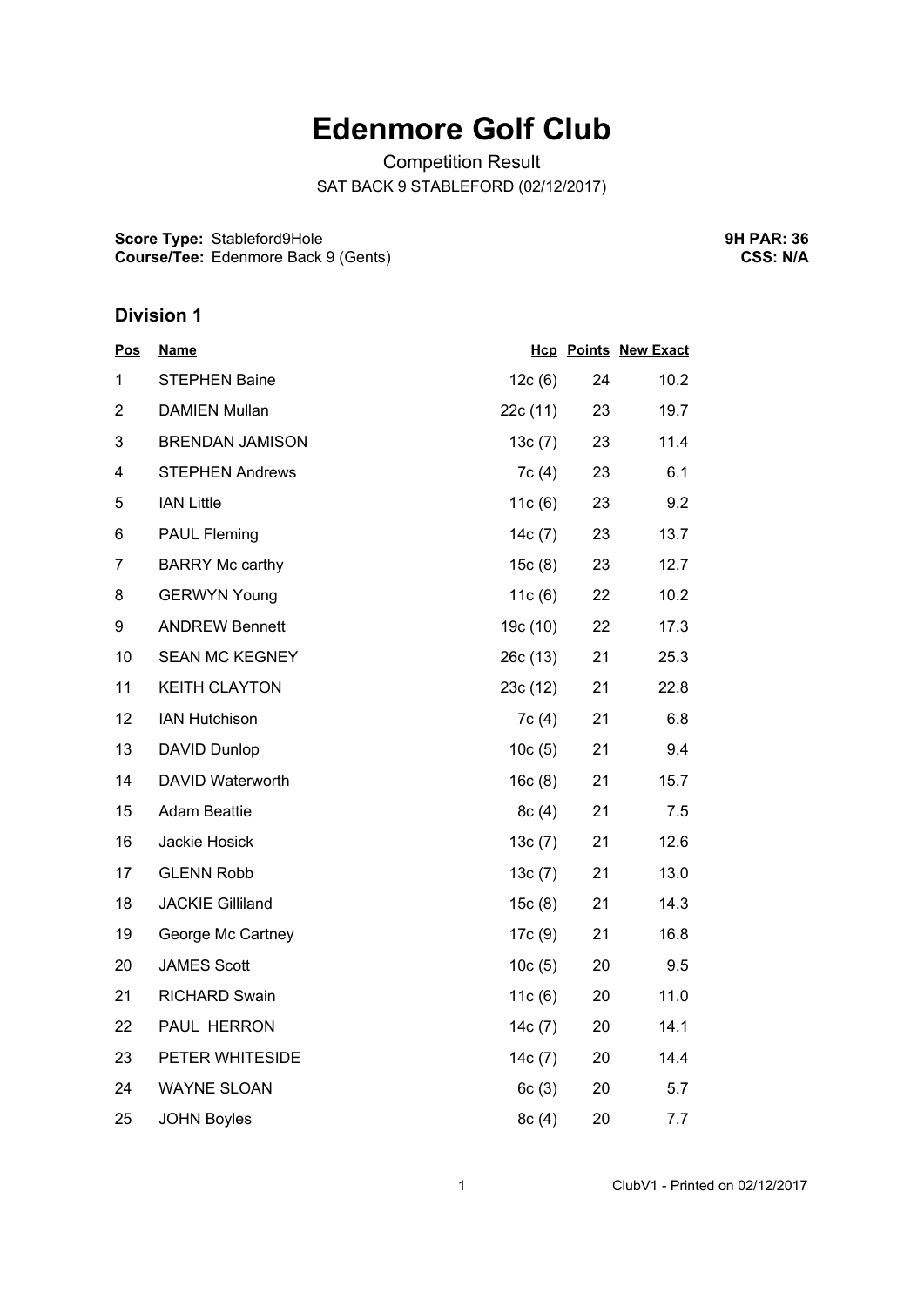## **Edenmore Golf Club**

Competition Result SAT BACK 9 STABLEFORD (02/12/2017)

**Score Type:** Stableford9Hole **Course/Tee:** Edenmore Back 9 (Gents) **9H PAR: 36 CSS: N/A**

## **Division 1**

| <b>Pos</b>     | <u>Name</u>             |           |    | <b>Hcp Points New Exact</b> |
|----------------|-------------------------|-----------|----|-----------------------------|
| 1              | <b>STEPHEN Baine</b>    | 12c(6)    | 24 | 10.2                        |
| $\overline{2}$ | <b>DAMIEN Mullan</b>    | 22c(11)   | 23 | 19.7                        |
| 3              | <b>BRENDAN JAMISON</b>  | 13c(7)    | 23 | 11.4                        |
| 4              | <b>STEPHEN Andrews</b>  | 7c(4)     | 23 | 6.1                         |
| 5              | <b>IAN Little</b>       | 11c(6)    | 23 | 9.2                         |
| 6              | <b>PAUL Fleming</b>     | 14c(7)    | 23 | 13.7                        |
| $\overline{7}$ | <b>BARRY Mc carthy</b>  | 15c(8)    | 23 | 12.7                        |
| 8              | <b>GERWYN Young</b>     | 11c(6)    | 22 | 10.2                        |
| 9              | <b>ANDREW Bennett</b>   | 19c (10)  | 22 | 17.3                        |
| 10             | <b>SEAN MC KEGNEY</b>   | 26c (13)  | 21 | 25.3                        |
| 11             | <b>KEITH CLAYTON</b>    | 23c(12)   | 21 | 22.8                        |
| 12             | <b>IAN Hutchison</b>    | 7c(4)     | 21 | 6.8                         |
| 13             | <b>DAVID Dunlop</b>     | 10c(5)    | 21 | 9.4                         |
| 14             | DAVID Waterworth        | 16c(8)    | 21 | 15.7                        |
| 15             | <b>Adam Beattie</b>     | 8c(4)     | 21 | 7.5                         |
| 16             | Jackie Hosick           | 13c(7)    | 21 | 12.6                        |
| 17             | <b>GLENN Robb</b>       | 13c(7)    | 21 | 13.0                        |
| 18             | <b>JACKIE Gilliland</b> | 15c(8)    | 21 | 14.3                        |
| 19             | George Mc Cartney       | 17c(9)    | 21 | 16.8                        |
| 20             | <b>JAMES Scott</b>      | 10c(5)    | 20 | 9.5                         |
| 21             | <b>RICHARD Swain</b>    | 11c(6)    | 20 | 11.0                        |
| 22             | PAUL HERRON             | 14c $(7)$ | 20 | 14.1                        |
| 23             | PETER WHITESIDE         | 14c(7)    | 20 | 14.4                        |
| 24             | <b>WAYNE SLOAN</b>      | 6c(3)     | 20 | 5.7                         |
| 25             | <b>JOHN Boyles</b>      | 8c(4)     | 20 | 7.7                         |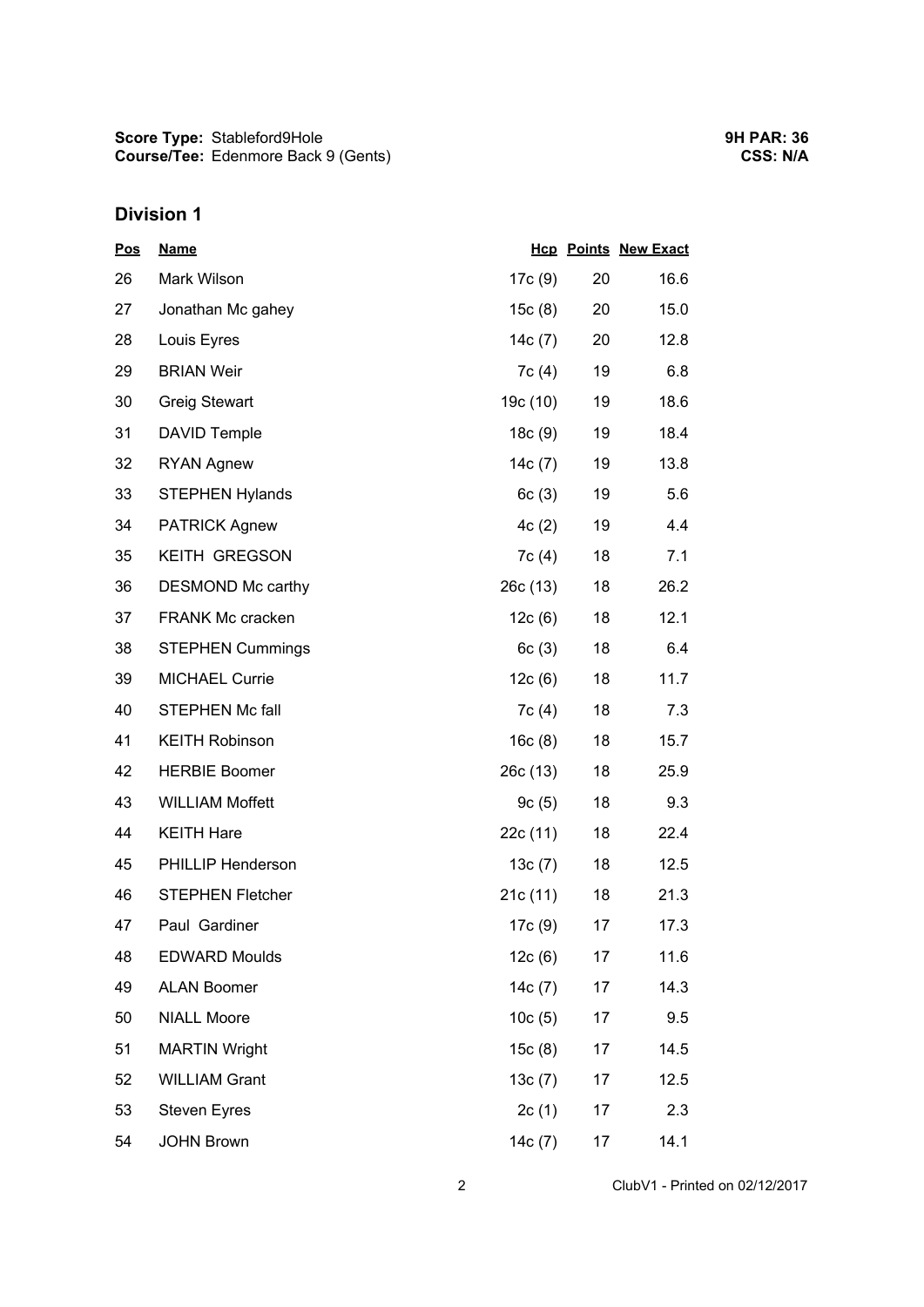## **Division 1**

| <u>Pos</u> | <b>Name</b>             |           |    | <b>Hcp Points New Exact</b> |
|------------|-------------------------|-----------|----|-----------------------------|
| 26         | Mark Wilson             | 17c (9)   | 20 | 16.6                        |
| 27         | Jonathan Mc gahey       | 15c(8)    | 20 | 15.0                        |
| 28         | Louis Eyres             | 14c(7)    | 20 | 12.8                        |
| 29         | <b>BRIAN Weir</b>       | 7c(4)     | 19 | 6.8                         |
| 30         | <b>Greig Stewart</b>    | 19c (10)  | 19 | 18.6                        |
| 31         | <b>DAVID Temple</b>     | 18c(9)    | 19 | 18.4                        |
| 32         | <b>RYAN Agnew</b>       | 14 $c(7)$ | 19 | 13.8                        |
| 33         | <b>STEPHEN Hylands</b>  | 6c(3)     | 19 | 5.6                         |
| 34         | <b>PATRICK Agnew</b>    | 4c(2)     | 19 | 4.4                         |
| 35         | <b>KEITH GREGSON</b>    | 7c(4)     | 18 | 7.1                         |
| 36         | DESMOND Mc carthy       | 26c(13)   | 18 | 26.2                        |
| 37         | <b>FRANK Mc cracken</b> | 12c(6)    | 18 | 12.1                        |
| 38         | <b>STEPHEN Cummings</b> | 6c(3)     | 18 | 6.4                         |
| 39         | <b>MICHAEL Currie</b>   | 12c(6)    | 18 | 11.7                        |
| 40         | <b>STEPHEN Mc fall</b>  | 7c(4)     | 18 | 7.3                         |
| 41         | <b>KEITH Robinson</b>   | 16c(8)    | 18 | 15.7                        |
| 42         | <b>HERBIE Boomer</b>    | 26c(13)   | 18 | 25.9                        |
| 43         | <b>WILLIAM Moffett</b>  | 9c(5)     | 18 | 9.3                         |
| 44         | <b>KEITH Hare</b>       | 22c(11)   | 18 | 22.4                        |
| 45         | PHILLIP Henderson       | 13c(7)    | 18 | 12.5                        |
| 46         | <b>STEPHEN Fletcher</b> | 21c(11)   | 18 | 21.3                        |
| 47         | Paul Gardiner           | 17c (9)   | 17 | 17.3                        |
| 48         | <b>EDWARD Moulds</b>    | 12c(6)    | 17 | 11.6                        |
| 49         | <b>ALAN Boomer</b>      | 14c(7)    | 17 | 14.3                        |
| 50         | <b>NIALL Moore</b>      | 10c(5)    | 17 | 9.5                         |
| 51         | <b>MARTIN Wright</b>    | 15c(8)    | 17 | 14.5                        |
| 52         | <b>WILLIAM Grant</b>    | 13c(7)    | 17 | 12.5                        |
| 53         | <b>Steven Eyres</b>     | 2c(1)     | 17 | 2.3                         |
| 54         | <b>JOHN Brown</b>       | 14c(7)    | 17 | 14.1                        |